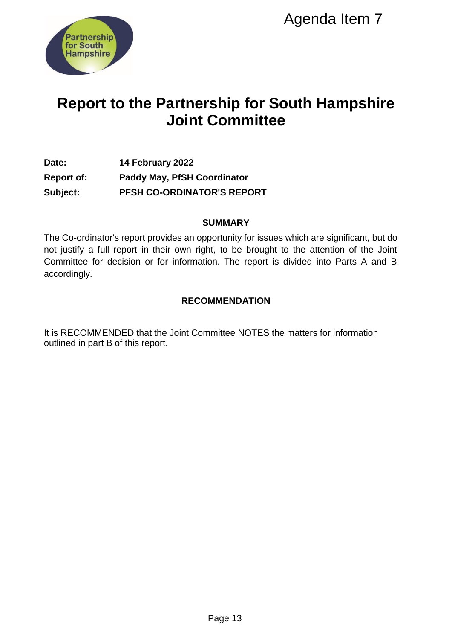

# **Report to the Partnership for South Hampshire Joint Committee**

# **Date: 14 February 2022 Report of: Paddy May, PfSH Coordinator Subject: PFSH CO-ORDINATOR'S REPORT**

#### **SUMMARY**

The Co-ordinator's report provides an opportunity for issues which are significant, but do not justify a full report in their own right, to be brought to the attention of the Joint Committee for decision or for information. The report is divided into Parts A and B accordingly. Agenda Item 7<br>
Ship for South Hampshi<br>
Committee<br>
ordinator<br>
DR'S REPORT<br>
UMMARY<br>
UMMARY<br>
UMMENT TO ISSUES WAS A SHOW TO THE TOWARD A TO THE TOWARD AND<br>
UNDENDATION<br>
MMENDATION<br>
MMENDATION<br>
MMENDATION<br>
PRIGE TO INCTES the

# **RECOMMENDATION**

It is RECOMMENDED that the Joint Committee NOTES the matters for information outlined in part B of this report.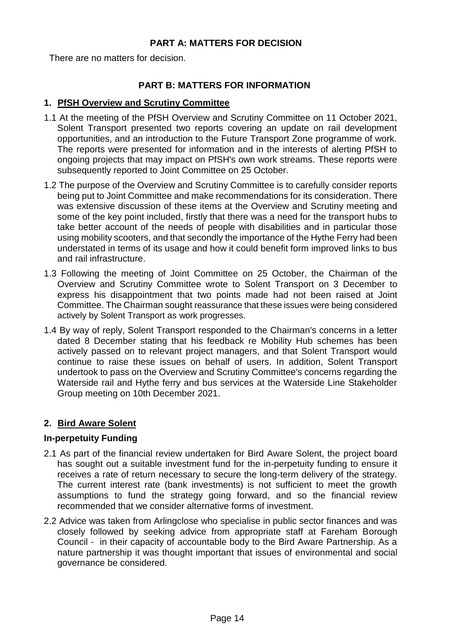#### **PART A: MATTERS FOR DECISION**

There are no matters for decision.

#### **PART B: MATTERS FOR INFORMATION**

#### **1. PfSH Overview and Scrutiny Committee**

- 1.1 At the meeting of the PfSH Overview and Scrutiny Committee on 11 October 2021, Solent Transport presented two reports covering an update on rail development opportunities, and an introduction to the Future Transport Zone programme of work. The reports were presented for information and in the interests of alerting PfSH to ongoing projects that may impact on PfSH's own work streams. These reports were subsequently reported to Joint Committee on 25 October.
- 1.2 The purpose of the Overview and Scrutiny Committee is to carefully consider reports being put to Joint Committee and make recommendations for its consideration. There was extensive discussion of these items at the Overview and Scrutiny meeting and some of the key point included, firstly that there was a need for the transport hubs to take better account of the needs of people with disabilities and in particular those using mobility scooters, and that secondly the importance of the Hythe Ferry had been understated in terms of its usage and how it could benefit form improved links to bus and rail infrastructure.
- 1.3 Following the meeting of Joint Committee on 25 October, the Chairman of the Overview and Scrutiny Committee wrote to Solent Transport on 3 December to express his disappointment that two points made had not been raised at Joint Committee. The Chairman sought reassurance that these issues were being considered actively by Solent Transport as work progresses.
- 1.4 By way of reply, Solent Transport responded to the Chairman's concerns in a letter dated 8 December stating that his feedback re Mobility Hub schemes has been actively passed on to relevant project managers, and that Solent Transport would continue to raise these issues on behalf of users. In addition, Solent Transport undertook to pass on the Overview and Scrutiny Committee's concerns regarding the Waterside rail and Hythe ferry and bus services at the Waterside Line Stakeholder Group meeting on 10th December 2021.

# **2. Bird Aware Solent**

#### **In-perpetuity Funding**

- 2.1 As part of the financial review undertaken for Bird Aware Solent, the project board has sought out a suitable investment fund for the in-perpetuity funding to ensure it receives a rate of return necessary to secure the long-term delivery of the strategy. The current interest rate (bank investments) is not sufficient to meet the growth assumptions to fund the strategy going forward, and so the financial review recommended that we consider alternative forms of investment.
- 2.2 Advice was taken from Arlingclose who specialise in public sector finances and was closely followed by seeking advice from appropriate staff at Fareham Borough Council - in their capacity of accountable body to the Bird Aware Partnership. As a nature partnership it was thought important that issues of environmental and social governance be considered.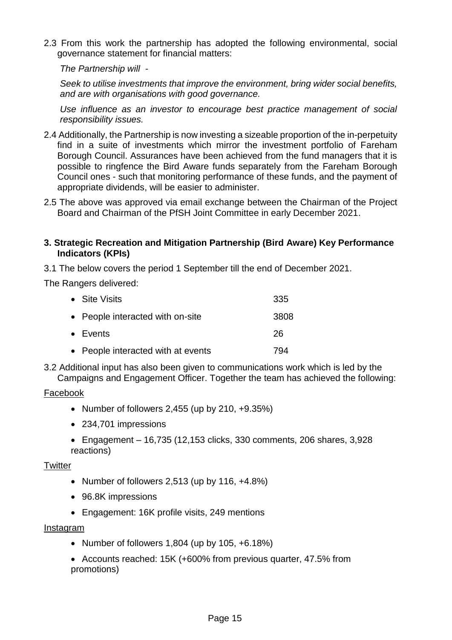2.3 From this work the partnership has adopted the following environmental, social governance statement for financial matters:

*The Partnership will -*

*Seek to utilise investments that improve the environment, bring wider social benefits, and are with organisations with good governance.* 

*Use influence as an investor to encourage best practice management of social responsibility issues.*

- 2.4 Additionally, the Partnership is now investing a sizeable proportion of the in-perpetuity find in a suite of investments which mirror the investment portfolio of Fareham Borough Council. Assurances have been achieved from the fund managers that it is possible to ringfence the Bird Aware funds separately from the Fareham Borough Council ones - such that monitoring performance of these funds, and the payment of appropriate dividends, will be easier to administer.
- 2.5 The above was approved via email exchange between the Chairman of the Project Board and Chairman of the PfSH Joint Committee in early December 2021.

#### **3. Strategic Recreation and Mitigation Partnership (Bird Aware) Key Performance Indicators (KPIs)**

3.1 The below covers the period 1 September till the end of December 2021.

The Rangers delivered:

| • Site Visits                      | 335  |
|------------------------------------|------|
| • People interacted with on-site   | 3808 |
| • Events                           | 26   |
| • People interacted with at events | 794  |

3.2 Additional input has also been given to communications work which is led by the Campaigns and Engagement Officer. Together the team has achieved the following:

#### Facebook

- Number of followers  $2,455$  (up by  $210, +9.35\%)$
- 234,701 impressions
- $\bullet$  Engagement 16,735 (12,153 clicks, 330 comments, 206 shares, 3,928 reactions)

#### **Twitter**

- Number of followers  $2,513$  (up by  $116, +4.8\%)$
- 96.8K impressions
- Engagement: 16K profile visits, 249 mentions

#### Instagram

- Number of followers  $1,804$  (up by  $105, +6.18\%)$
- Accounts reached: 15K (+600% from previous quarter, 47.5% from promotions)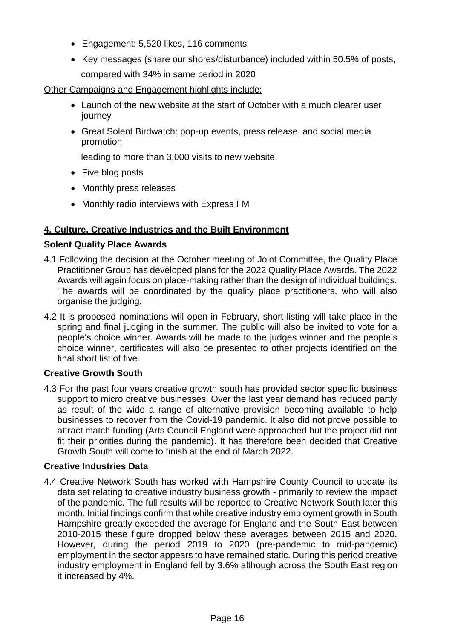- Engagement: 5,520 likes, 116 comments
- Key messages (share our shores/disturbance) included within 50.5% of posts, compared with 34% in same period in 2020

Other Campaigns and Engagement highlights include:

- Launch of the new website at the start of October with a much clearer user journey
- Great Solent Birdwatch: pop-up events, press release, and social media promotion

leading to more than 3,000 visits to new website.

- Five blog posts
- Monthly press releases
- Monthly radio interviews with Express FM

# **4. Culture, Creative Industries and the Built Environment**

# **[Solent Quality Place Awards](https://solentqualityplaceawards.org.uk/)**

- 4.1 Following the decision at the October meeting of Joint Committee, the Quality Place Practitioner Group has developed plans for the 2022 Quality Place Awards. The 2022 Awards will again focus on place-making rather than the design of individual buildings. The awards will be coordinated by the quality place practitioners, who will also organise the judging.
- 4.2 It is proposed nominations will open in February, short-listing will take place in the spring and final judging in the summer. The public will also be invited to vote for a people's choice winner. Awards will be made to the judges winner and the people's choice winner, certificates will also be presented to other projects identified on the final short list of five.

# **Creative Growth South**

4.3 For the past four years creative growth south has provided sector specific business support to micro creative businesses. Over the last year demand has reduced partly as result of the wide a range of alternative provision becoming available to help businesses to recover from the Covid-19 pandemic. It also did not prove possible to attract match funding (Arts Council England were approached but the project did not fit their priorities during the pandemic). It has therefore been decided that Creative Growth South will come to finish at the end of March 2022.

# **Creative Industries Data**

4.4 Creative Network South has worked with Hampshire County Council to update its data set relating to creative industry business growth - primarily to review the impact of the pandemic. The full results will be reported to Creative Network South later this month. Initial findings confirm that while creative industry employment growth in South Hampshire greatly exceeded the average for England and the South East between 2010-2015 these figure dropped below these averages between 2015 and 2020. However, during the period 2019 to 2020 (pre-pandemic to mid-pandemic) employment in the sector appears to have remained static. During this period creative industry employment in England fell by 3.6% although across the South East region it increased by 4%.